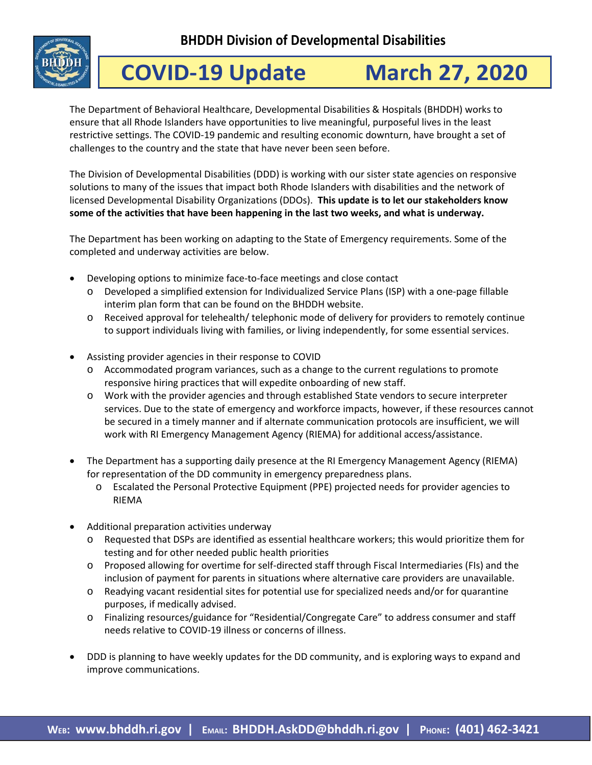**BHDDH Division of Developmental Disabilities** 



## **COVID-19 Update March 27, 2020**

The Department of Behavioral Healthcare, Developmental Disabilities & Hospitals (BHDDH) works to ensure that all Rhode Islanders have opportunities to live meaningful, purposeful lives in the least restrictive settings. The COVID-19 pandemic and resulting economic downturn, have brought a set of challenges to the country and the state that have never been seen before.

The Division of Developmental Disabilities (DDD) is working with our sister state agencies on responsive solutions to many of the issues that impact both Rhode Islanders with disabilities and the network of licensed Developmental Disability Organizations (DDOs). **This update is to let our stakeholders know some of the activities that have been happening in the last two weeks, and what is underway.**

The Department has been working on adapting to the State of Emergency requirements. Some of the completed and underway activities are below.

- Developing options to minimize face-to-face meetings and close contact
	- o Developed a simplified extension for Individualized Service Plans (ISP) with a one-page fillable interim plan form that can be found on the BHDDH website.
	- o Received approval for telehealth/ telephonic mode of delivery for providers to remotely continue to support individuals living with families, or living independently, for some essential services.
- Assisting provider agencies in their response to COVID
	- o Accommodated program variances, such as a change to the current regulations to promote responsive hiring practices that will expedite onboarding of new staff.
	- o Work with the provider agencies and through established State vendors to secure interpreter services. Due to the state of emergency and workforce impacts, however, if these resources cannot be secured in a timely manner and if alternate communication protocols are insufficient, we will work with RI Emergency Management Agency (RIEMA) for additional access/assistance.
- The Department has a supporting daily presence at the RI Emergency Management Agency (RIEMA) for representation of the DD community in emergency preparedness plans.
	- o Escalated the Personal Protective Equipment (PPE) projected needs for provider agencies to RIEMA
- Additional preparation activities underway
	- o Requested that DSPs are identified as essential healthcare workers; this would prioritize them for testing and for other needed public health priorities
	- o Proposed allowing for overtime for self-directed staff through Fiscal Intermediaries (FIs) and the inclusion of payment for parents in situations where alternative care providers are unavailable.
	- o Readying vacant residential sites for potential use for specialized needs and/or for quarantine purposes, if medically advised.
	- o Finalizing resources/guidance for "Residential/Congregate Care" to address consumer and staff needs relative to COVID-19 illness or concerns of illness.
- DDD is planning to have weekly updates for the DD community, and is exploring ways to expand and improve communications.